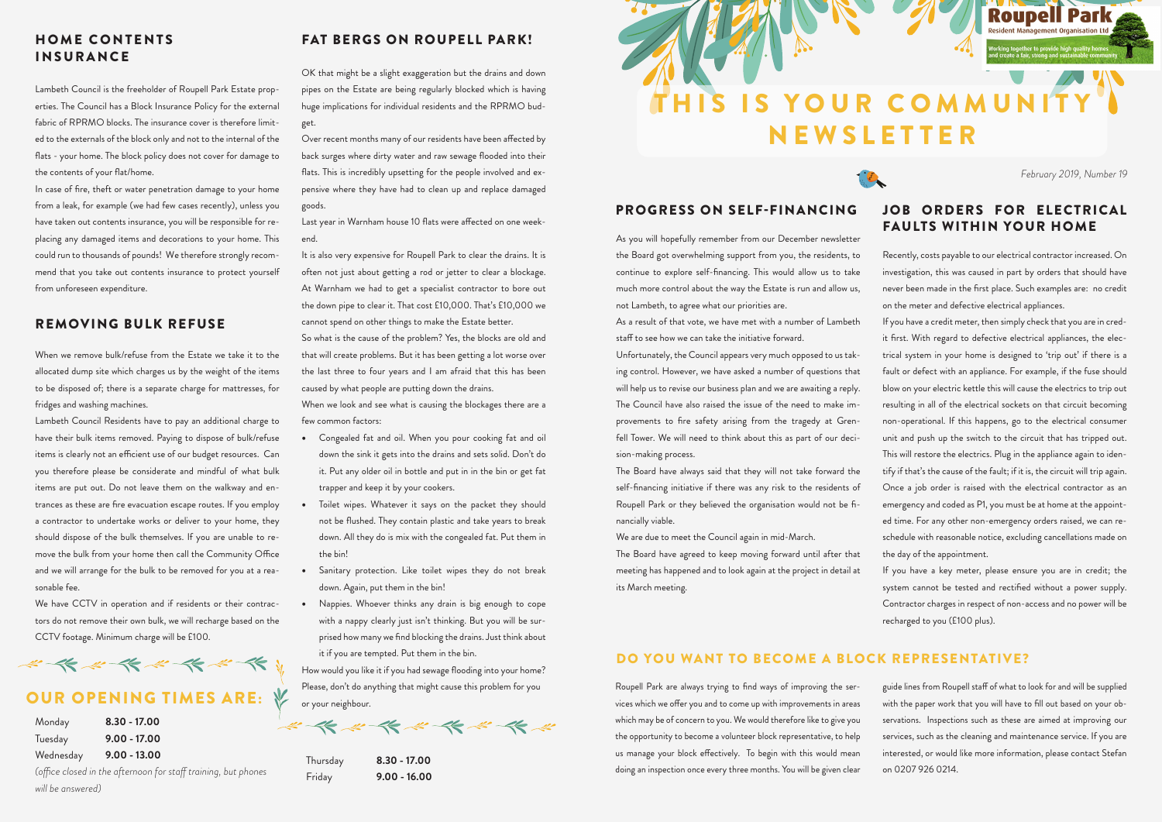

As you will hopefully remember from our December newsletter the Board got overwhelming support from you, the residents, to continue to explore self-financing. This would allow us to take much more control about the way the Estate is run and allow us, not Lambeth, to agree what our priorities are.

As a result of that vote, we have met with a number of Lambeth staff to see how we can take the initiative forward.

Unfortunately, the Council appears very much opposed to us taking control. However, we have asked a number of questions that will help us to revise our business plan and we are awaiting a reply. The Council have also raised the issue of the need to make improvements to fire safety arising from the tragedy at Grenfell Tower. We will need to think about this as part of our decision-making process.

The Board have always said that they will not take forward the self-financing initiative if there was any risk to the residents of Roupell Park or they believed the organisation would not be financially viable.

We are due to meet the Council again in mid-March.

The Board have agreed to keep moving forward until after that meeting has happened and to look again at the project in detail at its March meeting.

Recently, costs payable to our electrical contractor increased. On investigation, this was caused in part by orders that should have never been made in the first place. Such examples are: no credit on the meter and defective electrical appliances.

If you have a credit meter, then simply check that you are in credit first. With regard to defective electrical appliances, the electrical system in your home is designed to 'trip out' if there is a fault or defect with an appliance. For example, if the fuse should blow on your electric kettle this will cause the electrics to trip out resulting in all of the electrical sockets on that circuit becoming non-operational. If this happens, go to the electrical consumer unit and push up the switch to the circuit that has tripped out. This will restore the electrics. Plug in the appliance again to identify if that's the cause of the fault; if it is, the circuit will trip again. Once a job order is raised with the electrical contractor as an emergency and coded as P1, you must be at home at the appointed time. For any other non-emergency orders raised, we can reschedule with reasonable notice, excluding cancellations made on the day of the appointment.

If you have a key meter, please ensure you are in credit; the system cannot be tested and rectified without a power supply. Contractor charges in respect of non-access and no power will be recharged to you (£100 plus).

Roupell Park are always trying to find ways of improving the services which we offer you and to come up with improvements in areas which may be of concern to you. We would therefore like to give you the opportunity to become a volunteer block representative, to help us manage your block effectively. To begin with this would mean doing an inspection once every three months. You will be given clear

OK that might be a slight exaggeration but the drains and down pipes on the Estate are being regularly blocked which is having huge implications for individual residents and the RPRMO budget.

Over recent months many of our residents have been affected by back surges where dirty water and raw sewage flooded into their flats. This is incredibly upsetting for the people involved and expensive where they have had to clean up and replace damaged goods.

Last year in Warnham house 10 flats were affected on one weekend.

It is also very expensive for Roupell Park to clear the drains. It is often not just about getting a rod or jetter to clear a blockage. At Warnham we had to get a specialist contractor to bore out the down pipe to clear it. That cost £10,000. That's £10,000 we cannot spend on other things to make the Estate better.

So what is the cause of the problem? Yes, the blocks are old and that will create problems. But it has been getting a lot worse over the last three to four years and I am afraid that this has been caused by what people are putting down the drains.

When we look and see what is causing the blockages there are a few common factors:

- Congealed fat and oil. When you pour cooking fat and oil down the sink it gets into the drains and sets solid. Don't do it. Put any older oil in bottle and put in in the bin or get fat trapper and keep it by your cookers.
- Toilet wipes. Whatever it says on the packet they should not be flushed. They contain plastic and take years to break down. All they do is mix with the congealed fat. Put them in the bin!
- Sanitary protection. Like toilet wipes they do not break down. Again, put them in the bin!
- Nappies. Whoever thinks any drain is big enough to cope with a nappy clearly just isn't thinking. But you will be surprised how many we find blocking the drains. Just think about it if you are tempted. Put them in the bin.

How would you like it if you had sewage flooding into your home? Please, don't do anything that might cause this problem for you or your neighbour.

Lambeth Council is the freeholder of Roupell Park Estate properties. The Council has a Block Insurance Policy for the external fabric of RPRMO blocks. The insurance cover is therefore limited to the externals of the block only and not to the internal of the flats - your home. The block policy does not cover for damage to the contents of your flat/home.

In case of fire, theft or water penetration damage to your home from a leak, for example (we had few cases recently), unless you have taken out contents insurance, you will be responsible for replacing any damaged items and decorations to your home. This could run to thousands of pounds! We therefore strongly recommend that you take out contents insurance to protect yourself from unforeseen expenditure.

When we remove bulk/refuse from the Estate we take it to the allocated dump site which charges us by the weight of the items to be disposed of; there is a separate charge for mattresses, for fridges and washing machines.

Lambeth Council Residents have to pay an additional charge to have their bulk items removed. Paying to dispose of bulk/refuse items is clearly not an efficient use of our budget resources. Can you therefore please be considerate and mindful of what bulk items are put out. Do not leave them on the walkway and entrances as these are fire evacuation escape routes. If you employ a contractor to undertake works or deliver to your home, they should dispose of the bulk themselves. If you are unable to remove the bulk from your home then call the Community Office and we will arrange for the bulk to be removed for you at a reasonable fee.

We have CCTV in operation and if residents or their contractors do not remove their own bulk, we will recharge based on the CCTV footage. Minimum charge will be £100.

# \*\*\*\*\*\*\*\*\*\*\*

## **OUR OPENING TIMES ARE: ※**

guide lines from Roupell staff of what to look for and will be supplied with the paper work that you will have to fill out based on your observations. Inspections such as these are aimed at improving our services, such as the cleaning and maintenance service. If you are interested, or would like more information, please contact Stefan on 0207 926 0214.

#### DO YOU WANT TO BECOME A BLOCK REPRESENTATIVE?

### PROGRESS ON SELF-FINANCING JOB ORDERS FOR ELECTRICAL FAULTS WITHIN YOUR HOME

#### FAT BERGS ON ROUPELL PARK!

#### REMOVING BULK REFUSE

#### HOME CONTENTS INSURANCE

| Monday    | $8.30 - 17.00$ |
|-----------|----------------|
| Tuesday   | $9.00 - 17.00$ |
| Wednesday | $9.00 - 13.00$ |

*(office closed in the afternoon for staff training, but phones will be answered)* 

*February 2019, Number 19*

**Roupell Park** 

Thursday **8.30 - 17.00**  Friday **9.00 - 16.00**